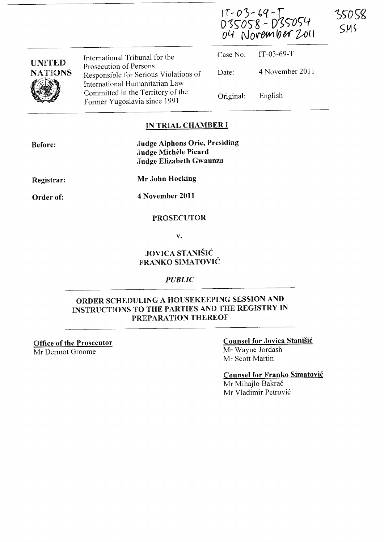17-03-69-1<br>D35058-D35054<br>04 November 2011

35058

SMS

| <b>UNITED</b><br><b>NATIONS</b><br>V | International Tribunal for the                                                                    |           | Case No. $IT-03-69-T$ |
|--------------------------------------|---------------------------------------------------------------------------------------------------|-----------|-----------------------|
|                                      | Prosecution of Persons<br>Responsible for Serious Violations of<br>International Humanitarian Law | Date:     | 4 November 2011       |
|                                      | Committed in the Territory of the<br>Former Yugoslavia since 1991                                 | Original: | English               |

## IN TRIAL CHAMBER I

| <b>Before:</b> | Judge Alphons Orie, Presiding |
|----------------|-------------------------------|
|                | Judge Michèle Picard          |
|                | Judge Elizabeth Gwaunza       |

Registrar: Mr John Hocking

Order of:

4 November 2011

### PROSECUTOR

v.

# JOVICA STANISiC FRANKO SiMATOVIC

#### *PUBLIC*

# ORDER SCHEDULING A HOUSEKEEPING SESSION AND INSTRUCTIONS TO THE PARTIES AND THE REGISTRY IN PREPARATION THEREOF

Office of the Prosecutor Mr Dermot Groome

## Counsel for Jovica Stanisic Mr Wayne Jordash

Mr Scott Martin

Counsel for Franko Simatovic

Mr Mihajlo Bakrač Mr Vladimir Petrović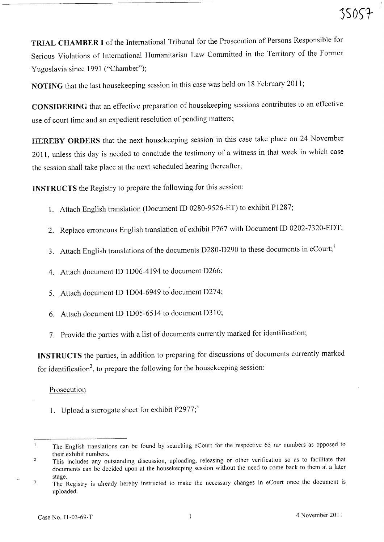TRIAL CHAMBER I of the International Tribunal for the Prosecution of Persons Responsible for Serious Violations of International Humanitarian Law Committed in the Territory of the Former Yugoslavia since 1991 ("Chamber");

NOTING that the last housekeeping session in this case was held on 18 February 2011;

CONSIDERING that an effective preparation of housekeeping sessions contributes to an effective use of court time and an expedient resolution of pending matters;

HEREBY ORDERS that the next housekeeping session in this case take place on 24 November 2011, unless this day is needed to conclude the testimony of a witness in that week in which case the session shall take place at the next scheduled hearing thereafter;

INSTRUCTS the Registry to prepare the following for this session:

- 1. Attach English translation (Document ID 0280-9526-ET) to exhibit P1287;
- 2. Replace erroneous English translation of exhibit P767 with Document ID 0202-7320-EDT;
- 3. Attach English translations of the documents D280-D290 to these documents in eCourt;<sup>1</sup>
- 4. Attach document ID 1D06-4194 to document D266;
- 5. Attach document ID 1D04-6949 to document D274;
- 6. Attach document ID 1D05-6514 to document D310;
- 7. Provide the parties with a list of documents currently marked for identification;

INSTRUCTS the parties, in addition to preparing for discussions of documents currently marked for identification<sup>2</sup>, to prepare the following for the housekeeping session:

## Prosecution

1. Upload a surrogate sheet for exhibit  $P2977$ ;<sup>3</sup>

The English translations can be found by searching eCourt for the respective 65 ter numbers as opposed to their exhibit numbers.

This includes any outstanding discussion, uploading, releasing or other verification so as to facilitate that documents can be decided upon at the housekeeping session without the need to come back to them at a later stage.

The Registry is already hereby instructed to make the necessary changes in eCourt once the document is  $\overline{\mathbf{3}}$ uploaded.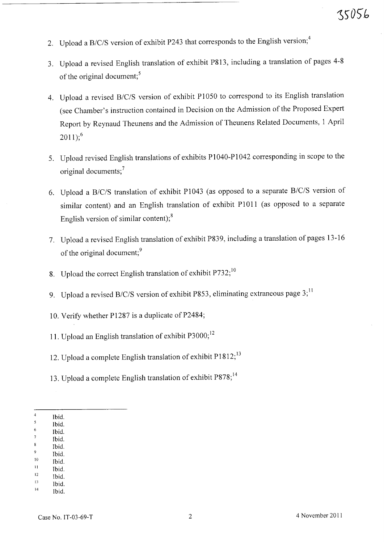- 2. Upload a B/C/S version of exhibit P243 that corresponds to the English version;<sup>4</sup>
- 3. Upload a revised English translation of exhibit P813, including a translation of pages 4-8 of the original document:<sup>5</sup>
- 4. Upload a revised *B/C/S* version of exhibit PI050 to correspond to its English translation (see Chamber's instruction contained in Decision on the Admission of the Proposed Expert Report by Reynaud Theunens and the Admission of Theunens Related Documents, 1 April  $2011$ ;<sup>6</sup>
- 5. Upload revised English translations of exhibits PI 040-PI 042 corresponding in scope to the original documents;<sup>7</sup>
- 6. Upload a *BIClS* translation of exhibit PI 043 (as opposed to a separate *B/C/S* version of similar content) and an English translation of exhibit P1011 (as opposed to a separate English version of similar content); $^{8}$
- 7. Upload a revised English translation of exhibit P839, including a translation of pages 13-16 of the original document;<sup>9</sup>
- 8. Upload the correct English translation of exhibit P732;<sup>10</sup>
- 9. Upload a revised *B/C/S* version of exhibit P853, eliminating extraneous page 3;<sup>11</sup>
- 10. Verify whether P1287 is a duplicate of P2484;
- 11. Upload an English translation of exhibit P3000;<sup>12</sup>
- 12. Upload a complete English translation of exhibit P1812;<sup>13</sup>
- 13. Upload a complete English translation of exhibit P878;<sup>14</sup>

- 6 Ibid. Ibid.
- Ibid.
- Ibid.
- $\overline{\phantom{a}}$ 10 Ibid.
- 11 Ibid.
- 12 Ibid. Ibid.

14 Ibid.

 $\overline{4}$ Ibid.  $\overline{\mathbf{5}}$ 

<sup>13</sup>  Ibid.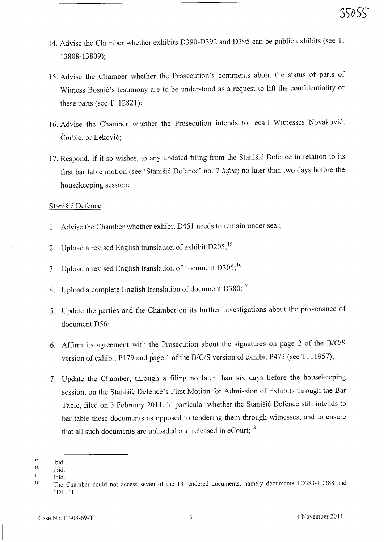- 14. Advise the Chamber whether exhibits D390-D392 and D395 can be public exhibits (see T. 13808-13809);
- 15. Advise the Chamber whether the Prosecution's comments about the status of parts of Witness Bosnić's testimony are to be understood as a request to lift the confidentiality of these parts (see T. 12821);
- 16. Advise the Chamber whether the Prosecution intends to recall Witnesses Novakovi6, Čorbić, or Leković;
- 17. Respond, if it so wishes, to any updated filing from the Stanišić Defence in relation to its first bar table motion (see 'Stanišić Defence' no. 7 *infra*) no later than two days before the housekeeping session;

### Stanišić Defence

- 1. Advise the Chamber whether exhibit D451 needs to remain under seal;
- 2. Upload a revised English translation of exhibit D205;<sup>15</sup>
- 3. Upload a revised English translation of document D305; <sup>16</sup>
- 4. Upload a complete English translation of document D380;<sup>17</sup>
- 5. Update the parties and the Chamber on its further investigations about the provenance of document D56;
- 6. Affirm its agreement with the Prosecution about the signatures on page 2 of the *BIClS*  version of exhibit P179 and page 1 of the *B/C/S* version of exhibit P473 (see T. 11957);
- 7. Update the Chamber, through a filing no later than six days before the housekeeping session, on the Stanisic Defence's First Motion for Admission of Exhibits through the Bar Table, filed on 3 February 2011, in particular whether the Stanišić Defence still intends to bar table these documents as opposed to tendering them through witnesses, and to ensure that all such documents are uploaded and released in eCourt;<sup>18</sup>

<sup>15</sup>  Ibid.

<sup>16</sup>  Ibid.

<sup>17</sup>  Ibid.

<sup>18</sup>  The Chamber could not access seven of the 13 tendered documents, namely documents 1D383-1D388 and IDIIII.